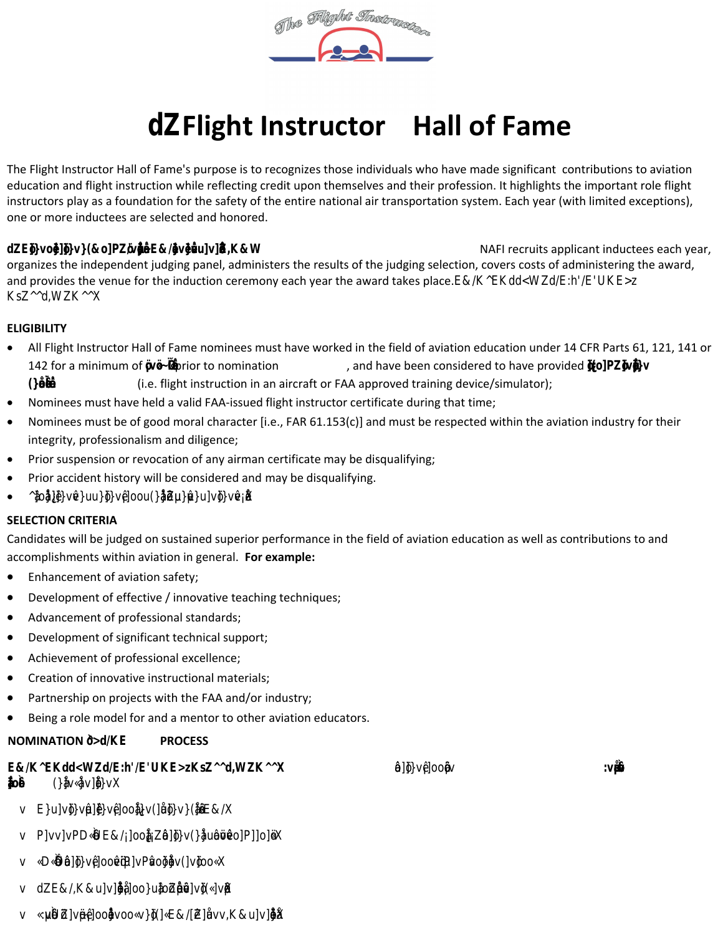# **Flight Instructor Hall of Fame**

The Flight Instructor Hall of Fame's purpose is to recognizes those individuals who have made significant contributions to aviation education and flight instruction while reflecting credit upon themselves and their profession. It highlights the important role flight instructors play as a foundation for the safety of the entire national air transportation system. Each year (with limited exceptions), one or more inductees are selected and honored.

The National Association of Flight Instructors (NAFI) sponsors and administers the HOF: NAFI recruits applicant inductees each year, organizes the independent judging panel, administers the results of the judging selection, covers costs of administering the award, and provides the venue for the induction ceremony each year the award takes place. NAFI OE NOT TA E A T IN  $\blacksquare$  IN , ON OE EE THE OE.

### **ELIGIBILITY**

- All Flight Instructor Hall of Fame nominees must have worked in the field of aviation education under 14 CFR Parts 61, 121, 141 or 142 for a minimum of  $\frac{1}{2}$ Fior to nomination , and have been considered to have provided active flight instruction for at least 10 years (i.e. flight instruction in an aircraft or FAA approved training device/simulator);
- Nominees must have held a valid FAA-issued flight instructor certificate during that time;
- Nominees must be of good moral character [i.e., FAR 61.153(c)] and must be respected within the aviation industry for their integrity, professionalism and diligence;
- Prior suspension or revocation of any airman certificate may be disqualifying;
- Prior accident history will be considered and may be disqualifying.
- $\bullet$

#### **SELECTION CRITERIA**

Candidates will be judged on sustained superior performance in the field of aviation education as well as contributions to and accomplishments within aviation in general. **For example:** 

- Enhancement of aviation safety;
- Development of effective / innovative teaching techniques;
- Advancement of professional standards;
- Development of significant technical support;
- Achievement of professional excellence;
- Creation of innovative instructional materials;
- Partnership on projects with the FAA and/or industry;
- Being a role model for and a mentor to other aviation educators.

### **NOMINATION &/K** PROCESS

| E&/KALdWZZ/E:h/EUKMZZ,WKZ<br>(CLIEX | <b>UHOOL</b> | :v∰ |
|-------------------------------------|--------------|-----|
| v Euvšuvpoptoptos                   |              |     |
| v PyvyPDQE&/popos(0000voPbK         |              |     |
| <b>QQ%jšPovëByP‰QQ%</b> oQ          |              |     |
|                                     |              |     |

- **v dZE&/,K&u]v]•šŒ-}Á]oo}u‰]ošZŒ•µoš•-v]vš](Ç]vµš•X**
- **v Ç:µv핚UšZ]vµš~••Á]oo‰Œ•}v-ooÇv}š](]ÇE&/[•Z-]Œu-v-v,K&u]v]•šŒ-}X**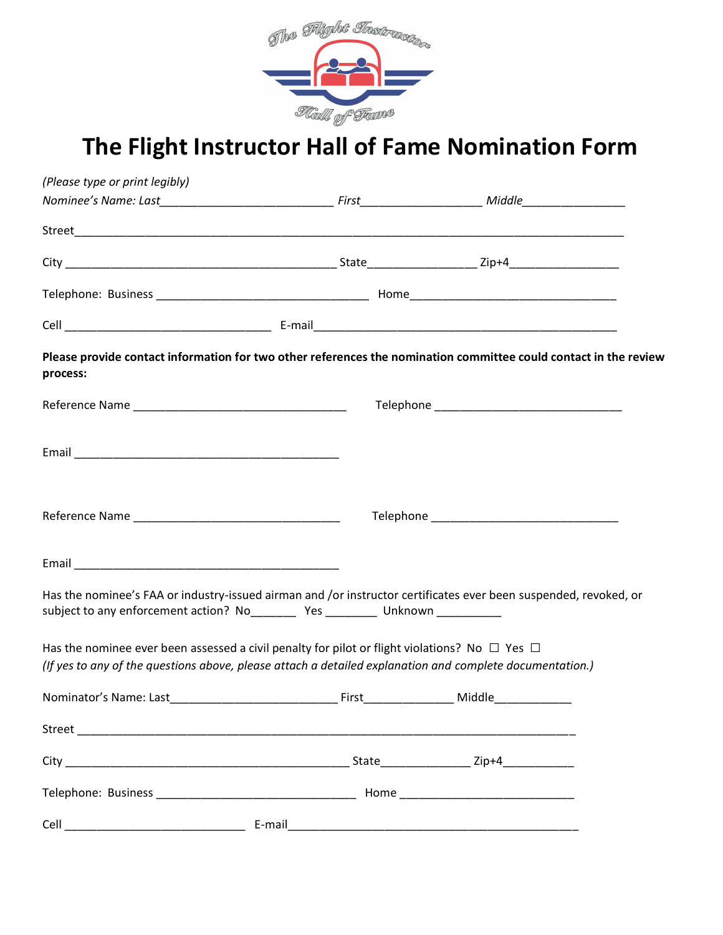

## **The Flight Instructor Hall of Fame Nomination Form**

| (Please type or print legibly)                                                                                                                                                                                      |                                                           |        |  |
|---------------------------------------------------------------------------------------------------------------------------------------------------------------------------------------------------------------------|-----------------------------------------------------------|--------|--|
|                                                                                                                                                                                                                     |                                                           |        |  |
|                                                                                                                                                                                                                     |                                                           |        |  |
|                                                                                                                                                                                                                     |                                                           |        |  |
|                                                                                                                                                                                                                     |                                                           |        |  |
|                                                                                                                                                                                                                     |                                                           |        |  |
| Please provide contact information for two other references the nomination committee could contact in the review<br>process:                                                                                        |                                                           |        |  |
|                                                                                                                                                                                                                     |                                                           |        |  |
|                                                                                                                                                                                                                     |                                                           |        |  |
|                                                                                                                                                                                                                     |                                                           |        |  |
|                                                                                                                                                                                                                     |                                                           |        |  |
| Has the nominee's FAA or industry-issued airman and /or instructor certificates ever been suspended, revoked, or<br>subject to any enforcement action? No____________ Yes ____________ Unknown ____________         |                                                           |        |  |
| Has the nominee ever been assessed a civil penalty for pilot or flight violations? No $\Box$ Yes $\Box$<br>(If yes to any of the questions above, please attach a detailed explanation and complete documentation.) |                                                           |        |  |
| Nominator's Name: Last                                                                                                                                                                                              | First_<br><u> 1989 - Johann Barnett, fransk politiker</u> | Middle |  |
|                                                                                                                                                                                                                     |                                                           |        |  |
|                                                                                                                                                                                                                     |                                                           |        |  |
|                                                                                                                                                                                                                     |                                                           |        |  |
|                                                                                                                                                                                                                     |                                                           |        |  |